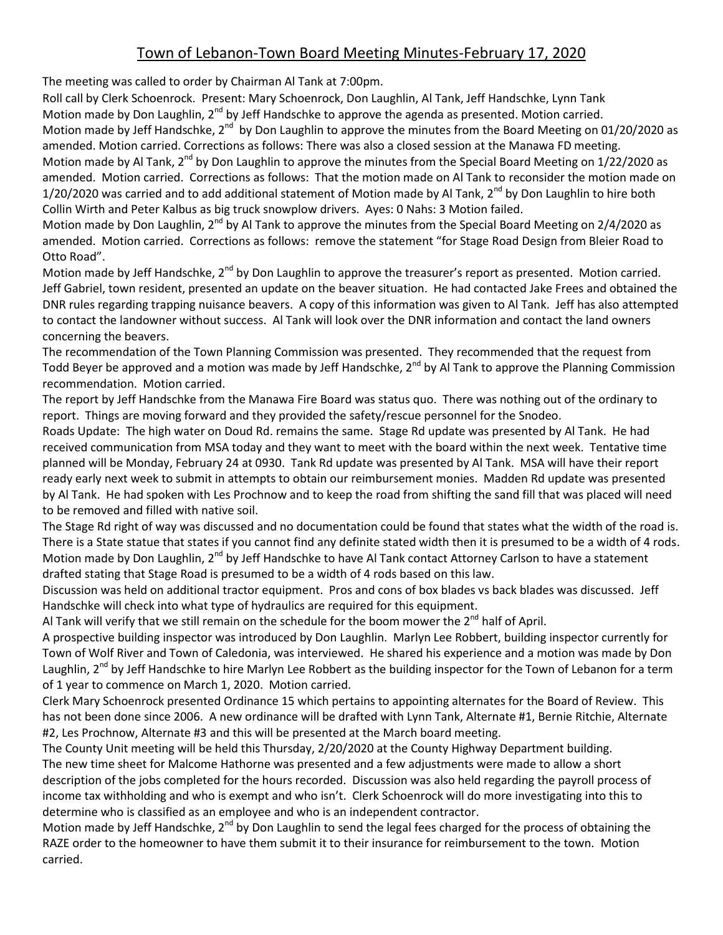## Town of Lebanon-Town Board Meeting Minutes-February 17, 2020

The meeting was called to order by Chairman Al Tank at 7:00pm.

Roll call by Clerk Schoenrock. Present: Mary Schoenrock, Don Laughlin, Al Tank, Jeff Handschke, Lynn Tank Motion made by Don Laughlin, 2<sup>nd</sup> by Jeff Handschke to approve the agenda as presented. Motion carried. Motion made by Jeff Handschke, 2<sup>nd</sup> by Don Laughlin to approve the minutes from the Board Meeting on 01/20/2020 as amended. Motion carried. Corrections as follows: There was also a closed session at the Manawa FD meeting. Motion made by Al Tank, 2<sup>nd</sup> by Don Laughlin to approve the minutes from the Special Board Meeting on 1/22/2020 as amended. Motion carried. Corrections as follows: That the motion made on Al Tank to reconsider the motion made on 1/20/2020 was carried and to add additional statement of Motion made by Al Tank, 2<sup>nd</sup> by Don Laughlin to hire both Collin Wirth and Peter Kalbus as big truck snowplow drivers. Ayes: 0 Nahs: 3 Motion failed.

Motion made by Don Laughlin, 2<sup>nd</sup> by Al Tank to approve the minutes from the Special Board Meeting on 2/4/2020 as amended. Motion carried. Corrections as follows: remove the statement "for Stage Road Design from Bleier Road to Otto Road".

Motion made by Jeff Handschke, 2<sup>nd</sup> by Don Laughlin to approve the treasurer's report as presented. Motion carried. Jeff Gabriel, town resident, presented an update on the beaver situation. He had contacted Jake Frees and obtained the DNR rules regarding trapping nuisance beavers. A copy of this information was given to Al Tank. Jeff has also attempted to contact the landowner without success. Al Tank will look over the DNR information and contact the land owners concerning the beavers.

The recommendation of the Town Planning Commission was presented. They recommended that the request from Todd Beyer be approved and a motion was made by Jeff Handschke, 2<sup>nd</sup> by Al Tank to approve the Planning Commission recommendation. Motion carried.

The report by Jeff Handschke from the Manawa Fire Board was status quo. There was nothing out of the ordinary to report. Things are moving forward and they provided the safety/rescue personnel for the Snodeo.

Roads Update: The high water on Doud Rd. remains the same. Stage Rd update was presented by Al Tank. He had received communication from MSA today and they want to meet with the board within the next week. Tentative time planned will be Monday, February 24 at 0930. Tank Rd update was presented by Al Tank. MSA will have their report ready early next week to submit in attempts to obtain our reimbursement monies. Madden Rd update was presented by Al Tank. He had spoken with Les Prochnow and to keep the road from shifting the sand fill that was placed will need to be removed and filled with native soil.

The Stage Rd right of way was discussed and no documentation could be found that states what the width of the road is. There is a State statue that states if you cannot find any definite stated width then it is presumed to be a width of 4 rods. Motion made by Don Laughlin, 2<sup>nd</sup> by Jeff Handschke to have Al Tank contact Attorney Carlson to have a statement drafted stating that Stage Road is presumed to be a width of 4 rods based on this law.

Discussion was held on additional tractor equipment. Pros and cons of box blades vs back blades was discussed. Jeff Handschke will check into what type of hydraulics are required for this equipment.

Al Tank will verify that we still remain on the schedule for the boom mower the  $2^{nd}$  half of April.

A prospective building inspector was introduced by Don Laughlin. Marlyn Lee Robbert, building inspector currently for Town of Wolf River and Town of Caledonia, was interviewed. He shared his experience and a motion was made by Don Laughlin,  $2^{nd}$  by Jeff Handschke to hire Marlyn Lee Robbert as the building inspector for the Town of Lebanon for a term of 1 year to commence on March 1, 2020. Motion carried.

Clerk Mary Schoenrock presented Ordinance 15 which pertains to appointing alternates for the Board of Review. This has not been done since 2006. A new ordinance will be drafted with Lynn Tank, Alternate #1, Bernie Ritchie, Alternate #2, Les Prochnow, Alternate #3 and this will be presented at the March board meeting.

The County Unit meeting will be held this Thursday, 2/20/2020 at the County Highway Department building. The new time sheet for Malcome Hathorne was presented and a few adjustments were made to allow a short description of the jobs completed for the hours recorded. Discussion was also held regarding the payroll process of income tax withholding and who is exempt and who isn't. Clerk Schoenrock will do more investigating into this to determine who is classified as an employee and who is an independent contractor.

Motion made by Jeff Handschke, 2<sup>nd</sup> by Don Laughlin to send the legal fees charged for the process of obtaining the RAZE order to the homeowner to have them submit it to their insurance for reimbursement to the town. Motion carried.